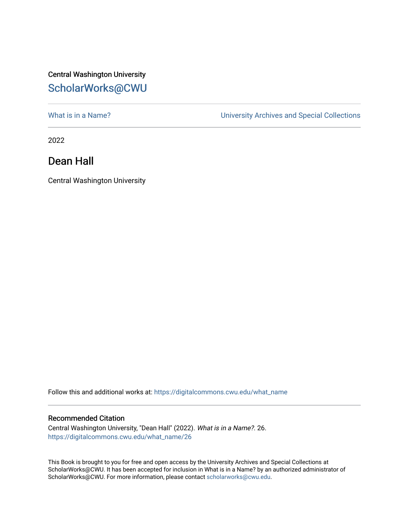# Central Washington University [ScholarWorks@CWU](https://digitalcommons.cwu.edu/)

What is in a Name?<br>
University Archives and Special Collections

2022

## Dean Hall

Central Washington University

Follow this and additional works at: [https://digitalcommons.cwu.edu/what\\_name](https://digitalcommons.cwu.edu/what_name?utm_source=digitalcommons.cwu.edu%2Fwhat_name%2F26&utm_medium=PDF&utm_campaign=PDFCoverPages) 

#### Recommended Citation

Central Washington University, "Dean Hall" (2022). What is in a Name?. 26. [https://digitalcommons.cwu.edu/what\\_name/26](https://digitalcommons.cwu.edu/what_name/26?utm_source=digitalcommons.cwu.edu%2Fwhat_name%2F26&utm_medium=PDF&utm_campaign=PDFCoverPages) 

This Book is brought to you for free and open access by the University Archives and Special Collections at ScholarWorks@CWU. It has been accepted for inclusion in What is in a Name? by an authorized administrator of ScholarWorks@CWU. For more information, please contact [scholarworks@cwu.edu](mailto:scholarworks@cwu.edu).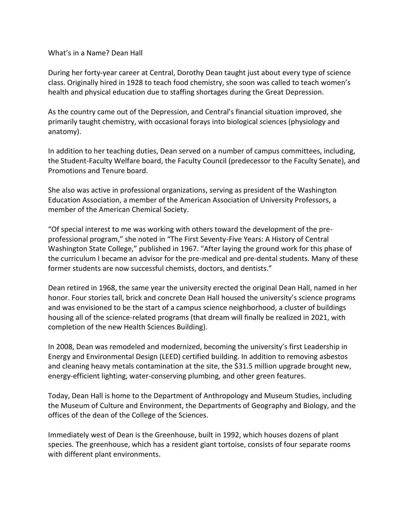### What's in a Name? Dean Hall

During her forty-year career at Central, Dorothy Dean taught just about every type of science class. Originally hired in 1928 to teach food chemistry, she soon was called to teach women's health and physical education due to staffing shortages during the Great Depression.

As the country came out of the Depression, and Central's financial situation improved, she primarily taught chemistry, with occasional forays into biological sciences (physiology and anatomy).

In addition to her teaching duties, Dean served on a number of campus committees, including, the Student-Faculty Welfare board, the Faculty Council (predecessor to the Faculty Senate), and Promotions and Tenure board.

She also was active in professional organizations, serving as president of the Washington Education Association, a member of the American Association of University Professors, a member of the American Chemical Society.

"Of special interest to me was working with others toward the development of the preprofessional program," she noted in "The First Seventy-Five Years: A History of Central Washington State College," published in 1967. "After laying the ground work for this phase of the curriculum I became an advisor for the pre-medical and pre-dental students. Many of these former students are now successful chemists, doctors, and dentists."

Dean retired in 1968, the same year the university erected the original Dean Hall, named in her honor. Four stories tall, brick and concrete Dean Hall housed the university's science programs and was envisioned to be the start of a campus science neighborhood, a cluster of buildings housing all of the science-related programs (that dream will finally be realized in 2021, with completion of the new Health Sciences Building).

In 2008, Dean was remodeled and modernized, becoming the university's first Leadership in Energy and Environmental Design (LEED) certified building. In addition to removing asbestos and cleaning heavy metals contamination at the site, the \$31.5 million upgrade brought new, energy-efficient lighting, water-conserving plumbing, and other green features.

Today, Dean Hall is home to the Department of Anthropology and Museum Studies, including the Museum of Culture and Environment, the Departments of Geography and Biology, and the offices of the dean of the College of the Sciences.

Immediately west of Dean is the Greenhouse, built in 1992, which houses dozens of plant species. The greenhouse, which has a resident giant tortoise, consists of four separate rooms with different plant environments.